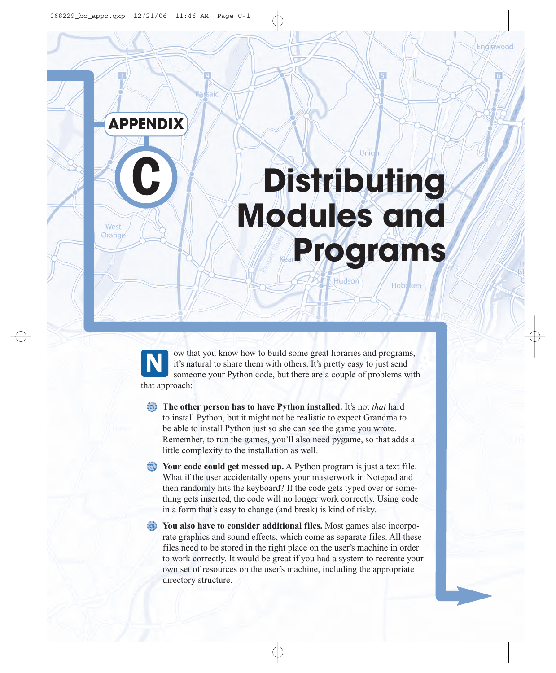

aic:

**C**

# **Distributing Modules and Programs**

Hudson

Hobe<sub>ken</sub>

Unio

West Orange

> ow that you know how to build some great libraries and programs, it's natural to share them with others. It's pretty easy to just send someone your Python code, but there are a couple of problems with that approach: N

**Example 3** The other person has to have Python installed. It's not *that* hard to install Python, but it might not be realistic to expect Grandma to be able to install Python just so she can see the game you wrote. Remember, to run the games, you'll also need pygame, so that adds a little complexity to the installation as well.

**EXECUTE:** Your code could get messed up. A Python program is just a text file. What if the user accidentally opens your masterwork in Notepad and then randomly hits the keyboard? If the code gets typed over or something gets inserted, the code will no longer work correctly. Using code in a form that's easy to change (and break) is kind of risky.

**You also have to consider additional files.** Most games also incorporate graphics and sound effects, which come as separate files. All these files need to be stored in the right place on the user's machine in order to work correctly. It would be great if you had a system to recreate your own set of resources on the user's machine, including the appropriate directory structure.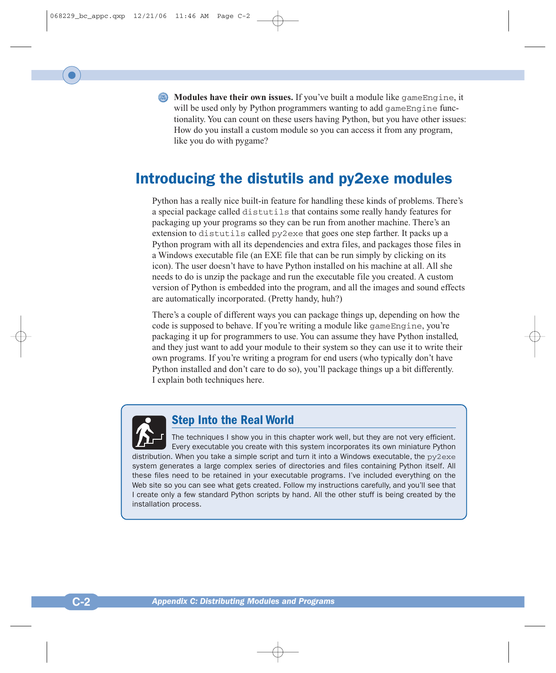**Modules have their own issues.** If you've built a module like gameEngine, it will be used only by Python programmers wanting to add gameEngine functionality. You can count on these users having Python, but you have other issues: How do you install a custom module so you can access it from any program, like you do with pygame?

# Introducing the distutils and py2exe modules

Python has a really nice built-in feature for handling these kinds of problems. There's a special package called distutils that contains some really handy features for packaging up your programs so they can be run from another machine. There's an extension to distutils called py2exe that goes one step farther. It packs up a Python program with all its dependencies and extra files, and packages those files in a Windows executable file (an EXE file that can be run simply by clicking on its icon). The user doesn't have to have Python installed on his machine at all. All she needs to do is unzip the package and run the executable file you created. A custom version of Python is embedded into the program, and all the images and sound effects are automatically incorporated. (Pretty handy, huh?)

There's a couple of different ways you can package things up, depending on how the code is supposed to behave. If you're writing a module like gameEngine, you're packaging it up for programmers to use. You can assume they have Python installed, and they just want to add your module to their system so they can use it to write their own programs. If you're writing a program for end users (who typically don't have Python installed and don't care to do so), you'll package things up a bit differently. I explain both techniques here.



# **Step Into the Real World**

The techniques I show you in this chapter work well, but they are not very efficient. Every executable you create with this system incorporates its own miniature Python distribution. When you take a simple script and turn it into a Windows executable, the  $py2$ exe system generates a large complex series of directories and files containing Python itself. All these files need to be retained in your executable programs. I've included everything on the Web site so you can see what gets created. Follow my instructions carefully, and you'll see that I create only a few standard Python scripts by hand. All the other stuff is being created by the installation process.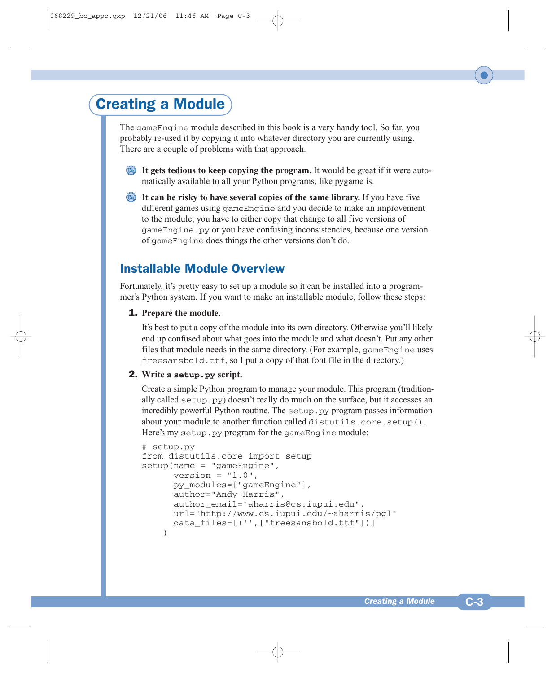# Creating a Module

The gameEngine module described in this book is a very handy tool. So far, you probably re-used it by copying it into whatever directory you are currently using. There are a couple of problems with that approach.

- **It gets tedious to keep copying the program.** It would be great if it were automatically available to all your Python programs, like pygame is.
- **It can be risky to have several copies of the same library.** If you have five different games using gameEngine and you decide to make an improvement to the module, you have to either copy that change to all five versions of gameEngine.py or you have confusing inconsistencies, because one version of gameEngine does things the other versions don't do.

# Installable Module Overview

Fortunately, it's pretty easy to set up a module so it can be installed into a programmer's Python system. If you want to make an installable module, follow these steps:

#### 1. **Prepare the module.**

It's best to put a copy of the module into its own directory. Otherwise you'll likely end up confused about what goes into the module and what doesn't. Put any other files that module needs in the same directory. (For example, gameEngine uses freesansbold.ttf, so I put a copy of that font file in the directory.)

#### 2. **Write a setup.py script.**

Create a simple Python program to manage your module. This program (traditionally called setup.py) doesn't really do much on the surface, but it accesses an incredibly powerful Python routine. The setup.py program passes information about your module to another function called distutils.core.setup(). Here's my setup.py program for the gameEngine module:

```
# setup.py
from distutils.core import setup
setup(name = "gameEngine", 
      version = "1.0",
      py_modules=["gameEngine"],
      author="Andy Harris",
      author email="aharris@cs.iupui.edu",
      url="http://www.cs.iupui.edu/~aharris/pgl"
      data files=[('',["freesansbold.ttf"])]\lambda
```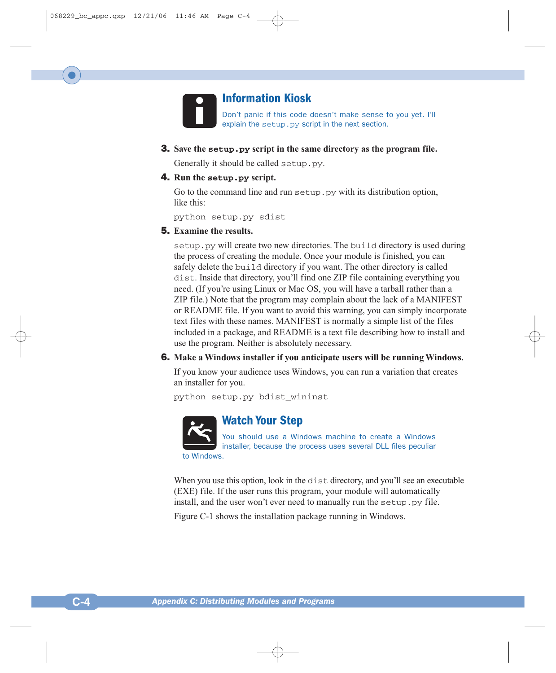

# **Information Kiosk**

Don't panic if this code doesn't make sense to you yet. I'll explain the setup.py script in the next section.

3. **Save the setup.py script in the same directory as the program file.**

Generally it should be called setup.py.

#### 4. **Run the setup.py script.**

Go to the command line and run setup. py with its distribution option, like this:

python setup.py sdist

# 5. **Examine the results.**

setup.py will create two new directories. The build directory is used during the process of creating the module. Once your module is finished, you can safely delete the build directory if you want. The other directory is called dist. Inside that directory, you'll find one ZIP file containing everything you need. (If you're using Linux or Mac OS, you will have a tarball rather than a ZIP file.) Note that the program may complain about the lack of a MANIFEST or README file. If you want to avoid this warning, you can simply incorporate text files with these names. MANIFEST is normally a simple list of the files included in a package, and README is a text file describing how to install and use the program. Neither is absolutely necessary.

#### 6. **Make a Windows installer if you anticipate users will be running Windows.**

If you know your audience uses Windows, you can run a variation that creates an installer for you.

python setup.py bdist\_wininst



# **Watch Your Step**

You should use a Windows machine to create a Windows installer, because the process uses several DLL files peculiar to Windows.

When you use this option, look in the dist directory, and you'll see an executable (EXE) file. If the user runs this program, your module will automatically install, and the user won't ever need to manually run the setup.py file.

Figure C-1 shows the installation package running in Windows.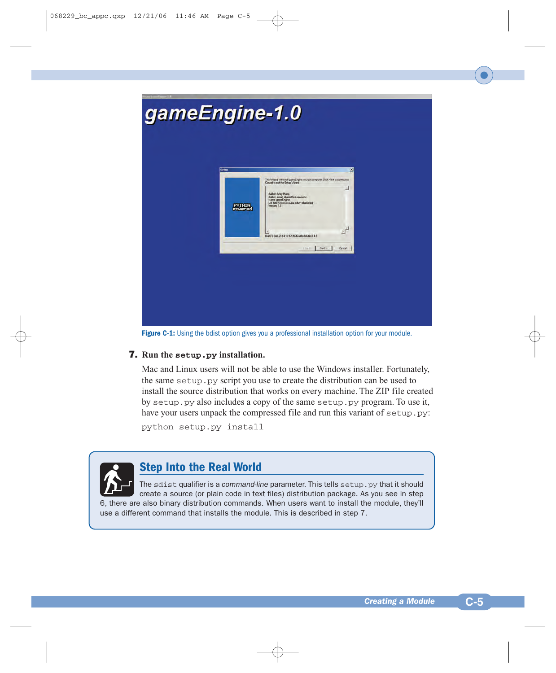

Figure C-1: Using the bdist option gives you a professional installation option for your module.

# 7. **Run the setup.py installation.**

Mac and Linux users will not be able to use the Windows installer. Fortunately, the same setup.py script you use to create the distribution can be used to install the source distribution that works on every machine. The ZIP file created by setup.py also includes a copy of the same setup.py program. To use it, have your users unpack the compressed file and run this variant of setup.py:

python setup.py install



# **Step Into the Real World**

The sdist qualifier is a *command-line* parameter. This tells setup.py that it should create a source (or plain code in text files) distribution package. As you see in step 6, there are also binary distribution commands. When users want to install the module, they'll use a different command that installs the module. This is described in step 7.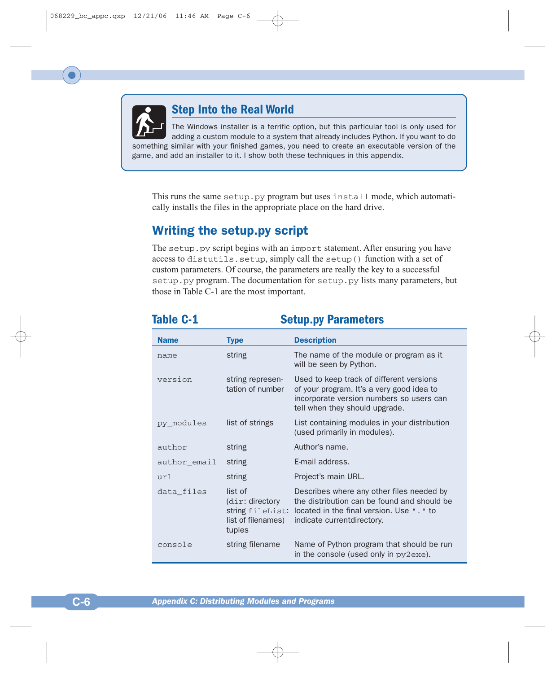

# **Step Into the Real World**

The Windows installer is a terrific option, but this particular tool is only used for adding a custom module to a system that already includes Python. If you want to do something similar with your finished games, you need to create an executable version of the game, and add an installer to it. I show both these techniques in this appendix.

This runs the same setup.py program but uses install mode, which automatically installs the files in the appropriate place on the hard drive.

# Writing the setup.py script

The setup.py script begins with an import statement. After ensuring you have access to distutils.setup, simply call the setup() function with a set of custom parameters. Of course, the parameters are really the key to a successful setup.py program. The documentation for setup.py lists many parameters, but those in Table C-1 are the most important.

# **Table C-1** Setup.py Parameters

| <b>Name</b>  | <b>Type</b>                                                                       | <b>Description</b>                                                                                                                                                   |
|--------------|-----------------------------------------------------------------------------------|----------------------------------------------------------------------------------------------------------------------------------------------------------------------|
| name         | string                                                                            | The name of the module or program as it<br>will be seen by Python.                                                                                                   |
| version      | string represen-<br>tation of number                                              | Used to keep track of different versions<br>of your program. It's a very good idea to<br>incorporate version numbers so users can<br>tell when they should upgrade.  |
| py modules   | list of strings                                                                   | List containing modules in your distribution<br>(used primarily in modules).                                                                                         |
| author       | string                                                                            | Author's name.                                                                                                                                                       |
| author email | string                                                                            | E-mail address.                                                                                                                                                      |
| url          | string                                                                            | Project's main URL.                                                                                                                                                  |
| data files   | list of<br>$\dim$ : directory<br>string fileList:<br>list of filenames)<br>tuples | Describes where any other files needed by<br>the distribution can be found and should be<br>located in the final version. Use ". " to<br>indicate current directory. |
| console      | string filename                                                                   | Name of Python program that should be run<br>in the console (used only in py2exe).                                                                                   |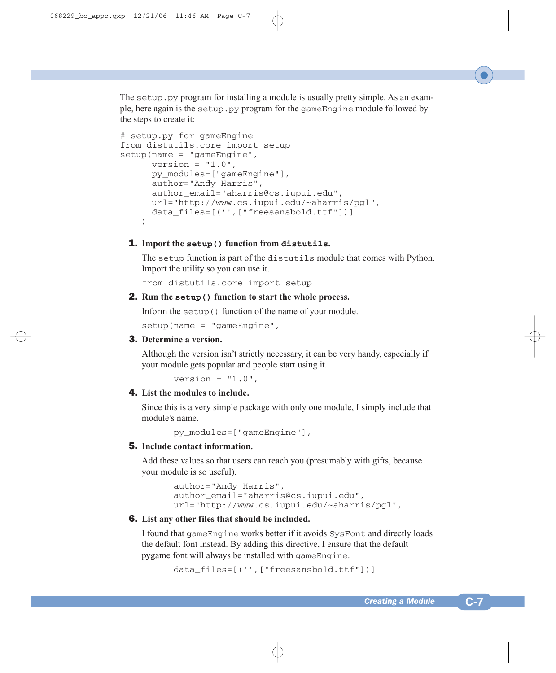The setup. py program for installing a module is usually pretty simple. As an example, here again is the setup.py program for the gameEngine module followed by the steps to create it:

```
# setup.py for gameEngine
from distutils.core import setup
setup(name = "gameEngine", 
     version = "1.0",
     py_modules=["gameEngine"],
      author="Andy Harris",
      author email="aharris@cs.iupui.edu",
      url="http://www.cs.iupui.edu/~aharris/pgl",
      data_files=[('',["freesansbold.ttf"])]
    \lambda
```
# 1. **Import the setup() function from distutils.**

The setup function is part of the distutils module that comes with Python. Import the utility so you can use it.

from distutils.core import setup

#### 2. **Run the setup() function to start the whole process.**

Inform the setup() function of the name of your module.

 $setup(name = "gameEnqine",$ 

# 3. **Determine a version.**

Although the version isn't strictly necessary, it can be very handy, especially if your module gets popular and people start using it.

version =  $"1.0"$ .

#### 4. **List the modules to include.**

Since this is a very simple package with only one module, I simply include that module's name.

py\_modules=["gameEngine"],

# 5. **Include contact information.**

Add these values so that users can reach you (presumably with gifts, because your module is so useful).

```
author="Andy Harris",
author email="aharris@cs.iupui.edu",
url="http://www.cs.iupui.edu/~aharris/pgl",
```
#### 6. **List any other files that should be included.**

I found that gameEngine works better if it avoids SysFont and directly loads the default font instead. By adding this directive, I ensure that the default pygame font will always be installed with gameEngine.

data files=[('',["freesansbold.ttf"])]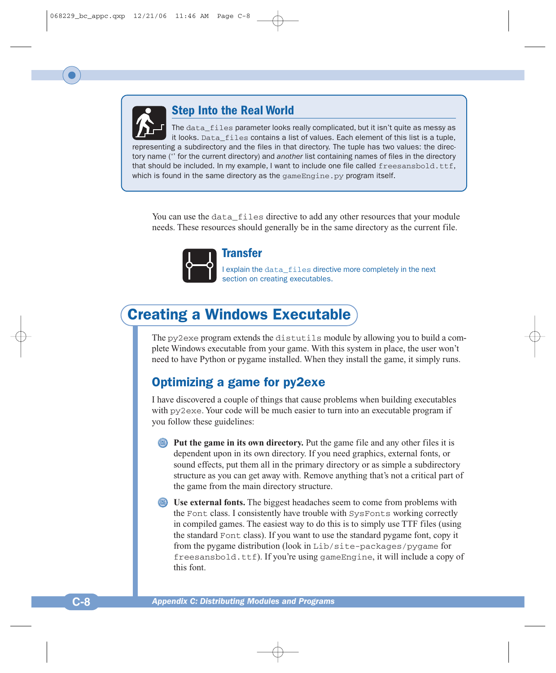

# **Step Into the Real World**

The data\_files parameter looks really complicated, but it isn't quite as messy as it looks. Data\_files contains a list of values. Each element of this list is a tuple, representing a subdirectory and the files in that directory. The tuple has two values: the directory name ('' for the current directory) and *another* list containing names of files in the directory that should be included. In my example, I want to include one file called freesansbold.ttf. which is found in the same directory as the  $\alpha$  ame Engine. py program itself.

You can use the data\_files directive to add any other resources that your module needs. These resources should generally be in the same directory as the current file.



# **Transfer**

I explain the data\_files directive more completely in the next section on creating executables.

# Creating a Windows Executable

The py2exe program extends the distutils module by allowing you to build a complete Windows executable from your game. With this system in place, the user won't need to have Python or pygame installed. When they install the game, it simply runs.

# Optimizing a game for py2exe

I have discovered a couple of things that cause problems when building executables with  $py2$  exe. Your code will be much easier to turn into an executable program if you follow these guidelines:

**Put the game in its own directory.** Put the game file and any other files it is dependent upon in its own directory. If you need graphics, external fonts, or sound effects, put them all in the primary directory or as simple a subdirectory structure as you can get away with. Remove anything that's not a critical part of the game from the main directory structure.

**Use external fonts.** The biggest headaches seem to come from problems with the Font class. I consistently have trouble with SysFonts working correctly in compiled games. The easiest way to do this is to simply use TTF files (using the standard Font class). If you want to use the standard pygame font, copy it from the pygame distribution (look in Lib/site-packages/pygame for freesansbold.ttf). If you're using gameEngine, it will include a copy of this font.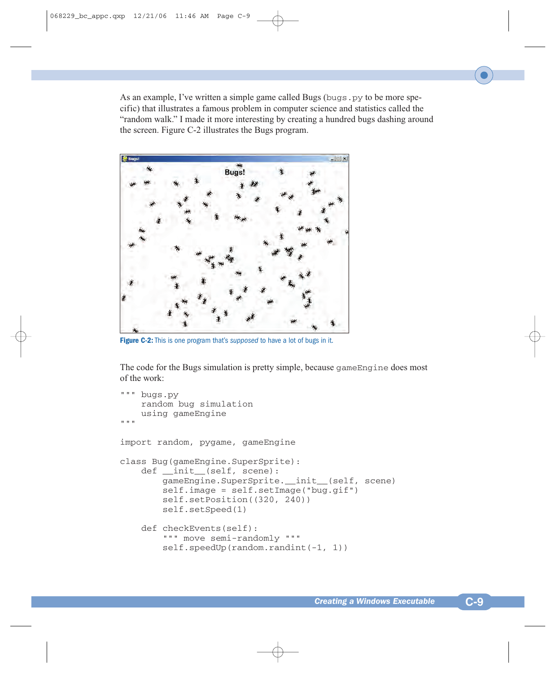As an example, I've written a simple game called Bugs (bugs.py to be more specific) that illustrates a famous problem in computer science and statistics called the "random walk." I made it more interesting by creating a hundred bugs dashing around the screen. Figure C-2 illustrates the Bugs program.



**Figure C-2:** This is one program that's *supposed* to have a lot of bugs in it.

The code for the Bugs simulation is pretty simple, because gameEngine does most of the work:

```
""" bugs.py 
    random bug simulation
    using gameEngine
"""
import random, pygame, gameEngine
class Bug(gameEngine.SuperSprite):
    def __init__(self, scene):
        gameEngine.SuperSprite.__init__(self, scene)
        self.image = self.setImage("bug.gif")
        self.setPosition((320, 240))
        self.setSpeed(1)
    def checkEvents(self):
        """ move semi-randomly """
        self.speedUp(random.randint(-1, 1))
```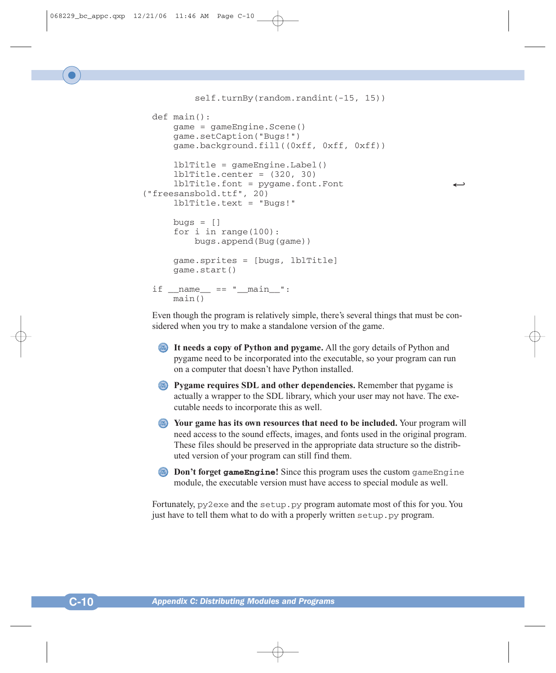self.turnBy(random.randint(-15, 15)) def main(): game = gameEngine.Scene() game.setCaption("Bugs!") game.background.fill((0xff, 0xff, 0xff))

```
lblTitle = gameEngine.Label()
    lblTitle.center = (320, 30)
    1blTitle.font = pygame.font.Font
("freesansbold.ttf", 20)
    lblTitle.text = "Bugs!"
```

```
b u \text{ as } = \lceil \rceilfor i in range(100):
         bugs.append(Bug(game))
    game.sprites = [bugs, lblTitle]
    game.start()
if __name__ == '__main__":
```

```
main()
```
Even though the program is relatively simple, there's several things that must be considered when you try to make a standalone version of the game.

- **It needs a copy of Python and pygame.** All the gory details of Python and pygame need to be incorporated into the executable, so your program can run on a computer that doesn't have Python installed.
- **Pygame requires SDL and other dependencies.** Remember that pygame is actually a wrapper to the SDL library, which your user may not have. The executable needs to incorporate this as well.
- **Your game has its own resources that need to be included.** Your program will need access to the sound effects, images, and fonts used in the original program. These files should be preserved in the appropriate data structure so the distributed version of your program can still find them.
- **Don't forget gameEngine!** Since this program uses the custom gameEngine module, the executable version must have access to special module as well.

Fortunately,  $py2$  exe and the setup. py program automate most of this for you. You just have to tell them what to do with a properly written setup.py program.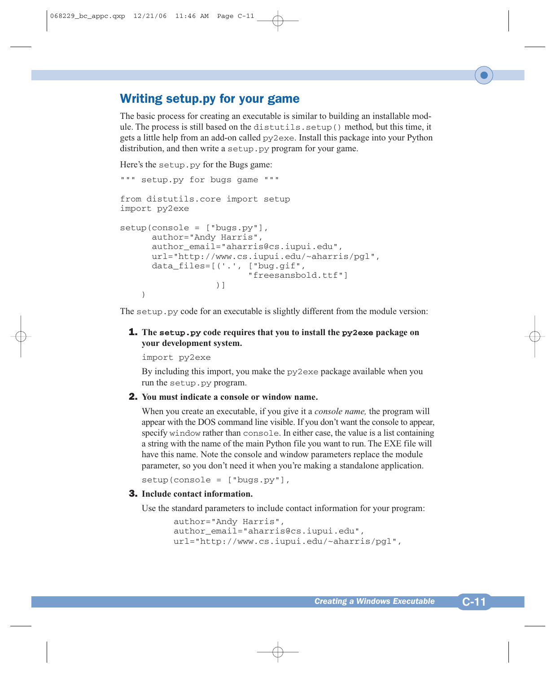# Writing setup.py for your game

The basic process for creating an executable is similar to building an installable module. The process is still based on the distutils.setup() method, but this time, it gets a little help from an add-on called py2exe. Install this package into your Python distribution, and then write a setup.py program for your game.

Here's the setup.py for the Bugs game:

```
""" setup.py for bugs game """
from distutils.core import setup
import py2exe
setup(console = ["bugs.py"],
      author="Andy Harris",
      author email="aharris@cs.iupui.edu",
      url="http://www.cs.iupui.edu/~aharris/pgl",
      data_files=[('.', ["bug.gif",
                         "freesansbold.ttf"]
                  )]
    )
```
The setup. py code for an executable is slightly different from the module version:

# 1. **The setup.py code requires that you to install the py2exe package on your development system.**

import py2exe

By including this import, you make the  $pV2$  exe package available when you run the setup.py program.

#### 2. **You must indicate a console or window name.**

When you create an executable, if you give it a *console name,* the program will appear with the DOS command line visible. If you don't want the console to appear, specify window rather than console. In either case, the value is a list containing a string with the name of the main Python file you want to run. The EXE file will have this name. Note the console and window parameters replace the module parameter, so you don't need it when you're making a standalone application.

```
setup(console = ["bugs.py"],
```
#### 3. **Include contact information.**

Use the standard parameters to include contact information for your program:

```
author="Andy Harris",
author email="aharris@cs.iupui.edu",
url="http://www.cs.iupui.edu/~aharris/pgl",
```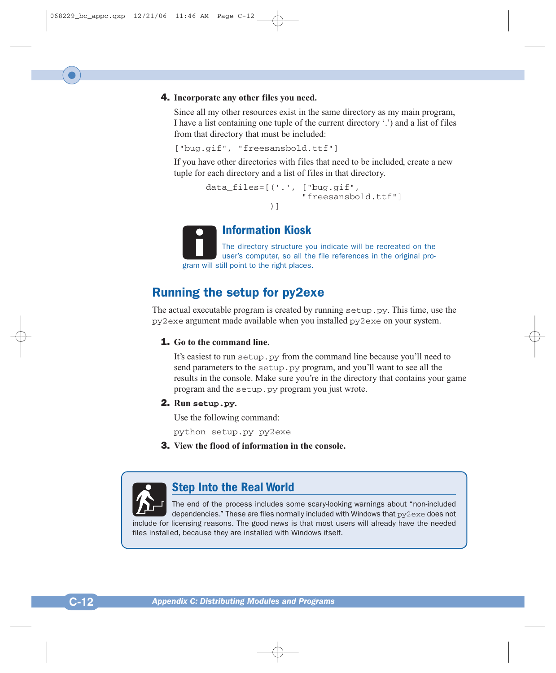# 4. **Incorporate any other files you need.**

Since all my other resources exist in the same directory as my main program, I have a list containing one tuple of the current directory '.') and a list of files from that directory that must be included:

["bug.gif", "freesansbold.ttf"]

If you have other directories with files that need to be included, create a new tuple for each directory and a list of files in that directory.

```
data files=[('.', ["bug.gif",
                   "freesansbold.ttf"]
            )]
```


# **Information Kiosk**

The directory structure you indicate will be recreated on the user's computer, so all the file references in the original program will still point to the right places.

# Running the setup for py2exe

The actual executable program is created by running setup.py. This time, use the py2exe argument made available when you installed py2exe on your system.

#### 1. **Go to the command line.**

It's easiest to run setup.py from the command line because you'll need to send parameters to the setup.py program, and you'll want to see all the results in the console. Make sure you're in the directory that contains your game program and the setup.py program you just wrote.

# 2. **Run setup.py.**

Use the following command:

python setup.py py2exe

3. **View the flood of information in the console.**



# **Step Into the Real World**

The end of the process includes some scary-looking warnings about "non-included dependencies." These are files normally included with Windows that  $py2$  exe does not include for licensing reasons. The good news is that most users will already have the needed files installed, because they are installed with Windows itself.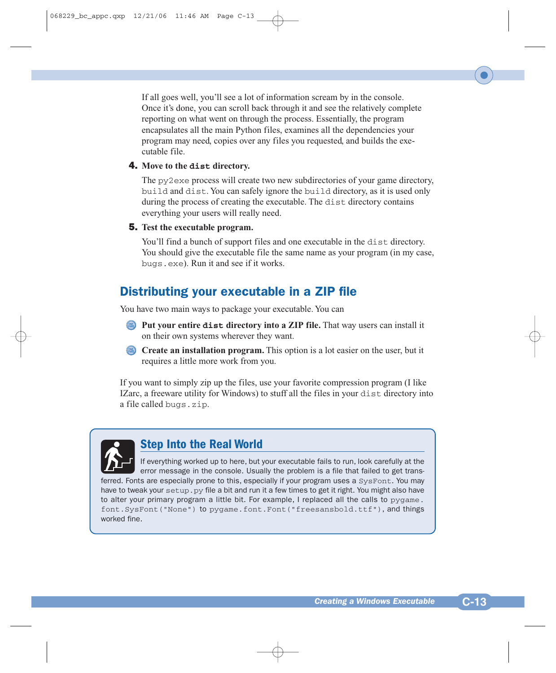If all goes well, you'll see a lot of information scream by in the console. Once it's done, you can scroll back through it and see the relatively complete reporting on what went on through the process. Essentially, the program encapsulates all the main Python files, examines all the dependencies your program may need, copies over any files you requested, and builds the executable file.

# 4. **Move to the dist directory.**

The py2exe process will create two new subdirectories of your game directory, build and dist. You can safely ignore the build directory, as it is used only during the process of creating the executable. The dist directory contains everything your users will really need.

# 5. **Test the executable program.**

You'll find a bunch of support files and one executable in the dist directory. You should give the executable file the same name as your program (in my case, bugs.exe). Run it and see if it works.

# Distributing your executable in a ZIP file

You have two main ways to package your executable. You can

- **Put your entire dist directory into a ZIP file.** That way users can install it on their own systems wherever they want.
- **Create an installation program.** This option is a lot easier on the user, but it requires a little more work from you.

If you want to simply zip up the files, use your favorite compression program (I like IZarc, a freeware utility for Windows) to stuff all the files in your dist directory into a file called bugs.zip.



# **Step Into the Real World**

If everything worked up to here, but your executable fails to run, look carefully at the error message in the console. Usually the problem is a file that failed to get transferred. Fonts are especially prone to this, especially if your program uses a SysFont. You may have to tweak your setup. py file a bit and run it a few times to get it right. You might also have to alter your primary program a little bit. For example, I replaced all the calls to pygame. font.SysFont("None") to pygame.font.Font("freesansbold.ttf"), and things worked fine.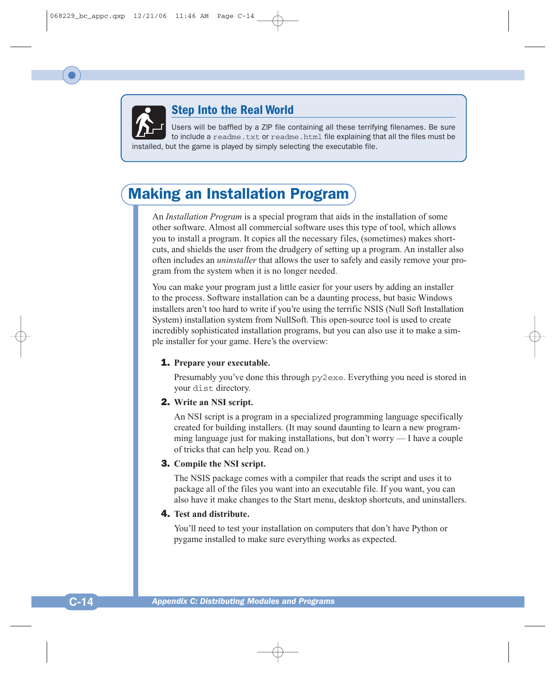

# **Step Into the Real World**

Users will be baffled by a ZIP file containing all these terrifying filenames. Be sure to include a readme.txt or readme.html file explaining that all the files must be installed, but the game is played by simply selecting the executable file.

# Making an Installation Program

An *Installation Program* is a special program that aids in the installation of some other software. Almost all commercial software uses this type of tool, which allows you to install a program. It copies all the necessary files, (sometimes) makes shortcuts, and shields the user from the drudgery of setting up a program. An installer also often includes an *uninstaller* that allows the user to safely and easily remove your program from the system when it is no longer needed.

You can make your program just a little easier for your users by adding an installer to the process. Software installation can be a daunting process, but basic Windows installers aren't too hard to write if you're using the terrific NSIS (Null Soft Installation System) installation system from NullSoft. This open-source tool is used to create incredibly sophisticated installation programs, but you can also use it to make a simple installer for your game. Here's the overview:

# 1. **Prepare your executable.**

Presumably you've done this through py2exe. Everything you need is stored in your dist directory.

# 2. **Write an NSI script.**

An NSI script is a program in a specialized programming language specifically created for building installers. (It may sound daunting to learn a new programming language just for making installations, but don't worry  $-1$  have a couple of tricks that can help you. Read on.)

# 3. **Compile the NSI script.**

The NSIS package comes with a compiler that reads the script and uses it to package all of the files you want into an executable file. If you want, you can also have it make changes to the Start menu, desktop shortcuts, and uninstallers.

# 4. **Test and distribute.**

You'll need to test your installation on computers that don't have Python or pygame installed to make sure everything works as expected.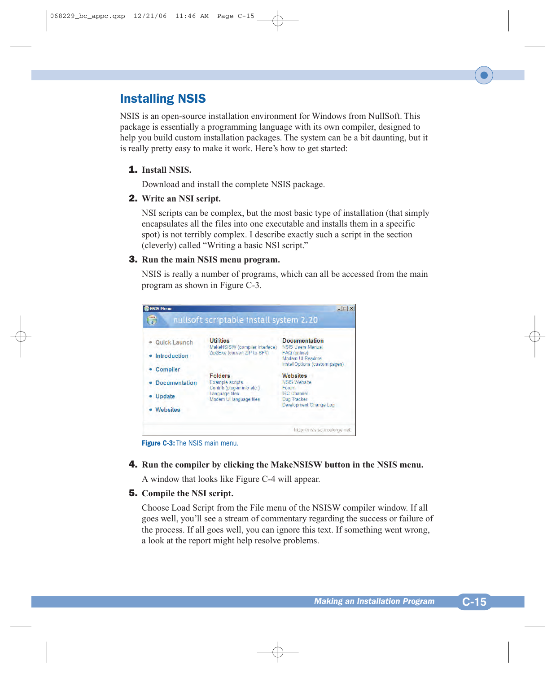# Installing NSIS

NSIS is an open-source installation environment for Windows from NullSoft. This package is essentially a programming language with its own compiler, designed to help you build custom installation packages. The system can be a bit daunting, but it is really pretty easy to make it work. Here's how to get started:

# 1. **Install NSIS.**

Download and install the complete NSIS package.

#### 2. **Write an NSI script.**

NSI scripts can be complex, but the most basic type of installation (that simply encapsulates all the files into one executable and installs them in a specific spot) is not terribly complex. I describe exactly such a script in the section (cleverly) called "Writing a basic NSI script."

#### 3. **Run the main NSIS menu program.**

NSIS is really a number of programs, which can all be accessed from the main program as shown in Figure C-3.



**Figure C-3:** The NSIS main menu.

#### 4. **Run the compiler by clicking the MakeNSISW button in the NSIS menu.**

A window that looks like Figure C-4 will appear.

#### 5. **Compile the NSI script.**

Choose Load Script from the File menu of the NSISW compiler window. If all goes well, you'll see a stream of commentary regarding the success or failure of the process. If all goes well, you can ignore this text. If something went wrong, a look at the report might help resolve problems.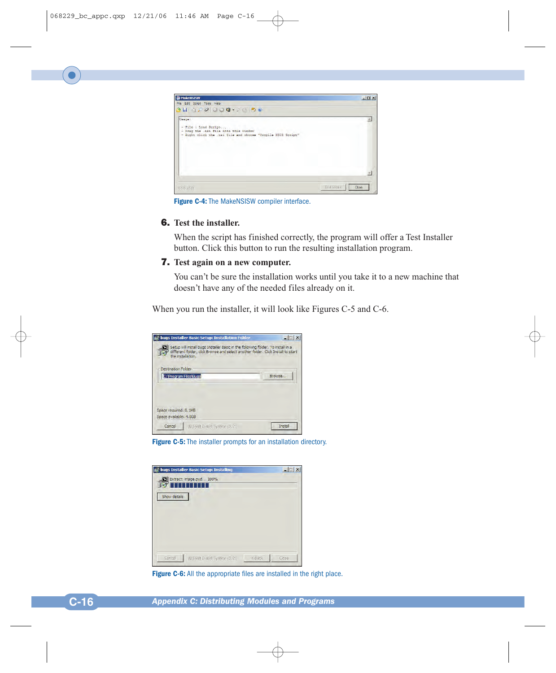

**Figure C-4:** The MakeNSISW compiler interface.

#### 6. **Test the installer.**

When the script has finished correctly, the program will offer a Test Installer button. Click this button to run the resulting installation program.

# 7. **Test again on a new computer.**

You can't be sure the installation works until you take it to a new machine that doesn't have any of the needed files already on it.

When you run the installer, it will look like Figures C-5 and C-6.

| in bugs Installer Basic Setup: Installation Folder                                                                                                                                       |         |
|------------------------------------------------------------------------------------------------------------------------------------------------------------------------------------------|---------|
| Setup will install bugs Installer Basic in the following folder. To install in a<br>different folder, dick Browse and select another folder. Click Install to start<br>the installation. |         |
| <b>Destination Folder</b>                                                                                                                                                                |         |
| C: Program Files Bugs                                                                                                                                                                    | Browse  |
|                                                                                                                                                                                          |         |
| Space required: 8, 1MB                                                                                                                                                                   |         |
| Space available: 4.0GB                                                                                                                                                                   |         |
| Cancel<br>Mullsoft Install System y2,20                                                                                                                                                  | Install |

**Figure C-5:** The installer prompts for an installation directory.

| in bugs Installer Basic Setup: Installing |          | $ \Box$ $\times$ |
|-------------------------------------------|----------|------------------|
| Extract: image.pyd 100%                   |          |                  |
|                                           |          |                  |
| Show details                              |          |                  |
|                                           |          |                  |
|                                           |          |                  |
|                                           |          |                  |
|                                           |          |                  |
|                                           |          |                  |
| Cancel<br>Nullsoft Install System v2.20   | $<$ Back | Close            |

**Figure C-6:** All the appropriate files are installed in the right place.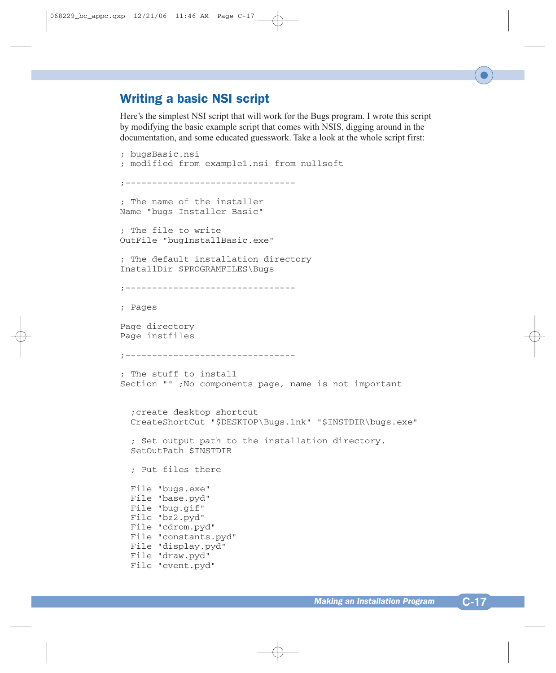# Writing a basic NSI script

Here's the simplest NSI script that will work for the Bugs program. I wrote this script by modifying the basic example script that comes with NSIS, digging around in the documentation, and some educated guesswork. Take a look at the whole script first:

```
; bugsBasic.nsi
; modified from example1.nsi from nullsoft
;--------------------------------
; The name of the installer
Name "bugs Installer Basic"
; The file to write
OutFile "bugInstallBasic.exe"
; The default installation directory
InstallDir $PROGRAMFILES\Bugs
;---------------------------------
; Pages
Page directory
Page instfiles
;--------------------------------
; The stuff to install
Section "" ;No components page, name is not important
  ;create desktop shortcut
  CreateShortCut "$DESKTOP\Bugs.lnk" "$INSTDIR\bugs.exe"
  ; Set output path to the installation directory.
  SetOutPath $INSTDIR
  ; Put files there
  File "bugs.exe"
  File "base.pyd"
  File "bug.gif"
  File "bz2.pyd"
  File "cdrom.pyd"
  File "constants.pyd"
  File "display.pyd"
  File "draw.pyd"
  File "event.pyd"
```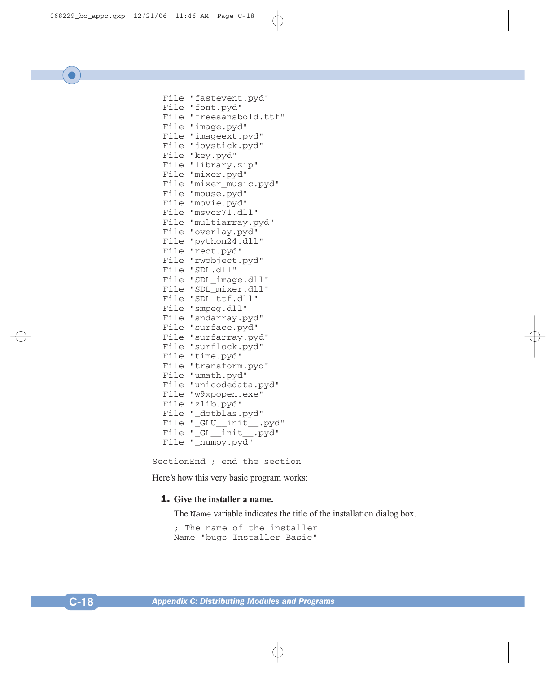```
File "fastevent.pyd"
File "font.pyd"
File "freesansbold.ttf"
File "image.pyd"
File "imageext.pyd"
File "joystick.pyd"
File "key.pyd"
File "library.zip"
File "mixer.pyd"
File "mixer_music.pyd"
File "mouse.pyd"
File "movie.pyd"
File "msvcr71.dll"
File "multiarray.pyd"
File "overlay.pyd"
File "python24.dll"
File "rect.pyd"
File "rwobject.pyd"
File "SDL.dll"
File "SDL_image.dll"
File "SDL_mixer.dll"
File "SDL_ttf.dll"
File "smpeg.dll"
File "sndarray.pyd"
File "surface.pyd"
File "surfarray.pyd"
File "surflock.pyd"
File "time.pyd"
File "transform.pyd"
File "umath.pyd"
File "unicodedata.pyd"
File "w9xpopen.exe"
File "zlib.pyd"
File "_dotblas.pyd"
File "_GLU__init__.pyd"
File "_GL__init__.pyd"
File " numpy.pyd"
```
SectionEnd ; end the section

Here's how this very basic program works:

#### 1. **Give the installer a name.**

The Name variable indicates the title of the installation dialog box.

; The name of the installer Name "bugs Installer Basic"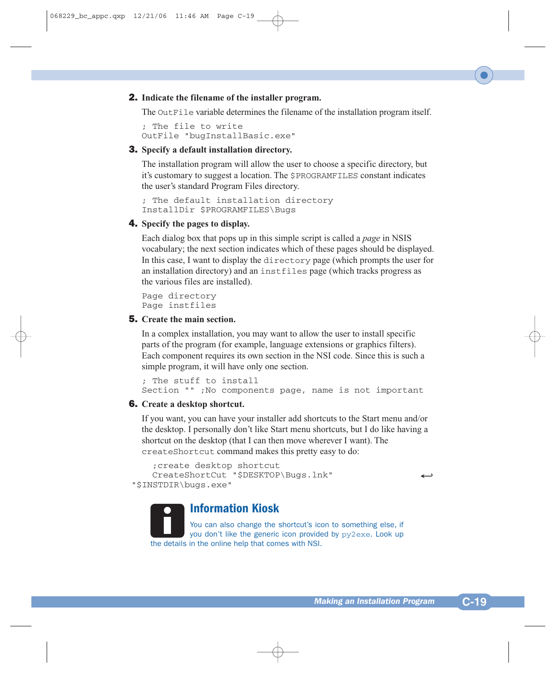# 2. **Indicate the filename of the installer program.**

The OutFile variable determines the filename of the installation program itself.

; The file to write OutFile "bugInstallBasic.exe"

#### 3. **Specify a default installation directory.**

The installation program will allow the user to choose a specific directory, but it's customary to suggest a location. The \$PROGRAMFILES constant indicates the user's standard Program Files directory.

; The default installation directory InstallDir \$PROGRAMFILES\Bugs

#### 4. **Specify the pages to display.**

Each dialog box that pops up in this simple script is called a *page* in NSIS vocabulary; the next section indicates which of these pages should be displayed. In this case, I want to display the directory page (which prompts the user for an installation directory) and an instfiles page (which tracks progress as the various files are installed).

Page directory Page instfiles

# 5. **Create the main section.**

In a complex installation, you may want to allow the user to install specific parts of the program (for example, language extensions or graphics filters). Each component requires its own section in the NSI code. Since this is such a simple program, it will have only one section.

; The stuff to install Section "" ;No components page, name is not important

#### 6. **Create a desktop shortcut.**

If you want, you can have your installer add shortcuts to the Start menu and/or the desktop. I personally don't like Start menu shortcuts, but I do like having a shortcut on the desktop (that I can then move wherever I want). The createShortcut command makes this pretty easy to do:

```
;create desktop shortcut
   CreateShortCut "$DESKTOP\Bugs.lnk" 9
"$INSTDIR\bugs.exe"
```
# **Information Kiosk**

You can also change the shortcut's icon to something else, if you don't like the generic icon provided by py2exe. Look up the details in the online help that comes with NSI.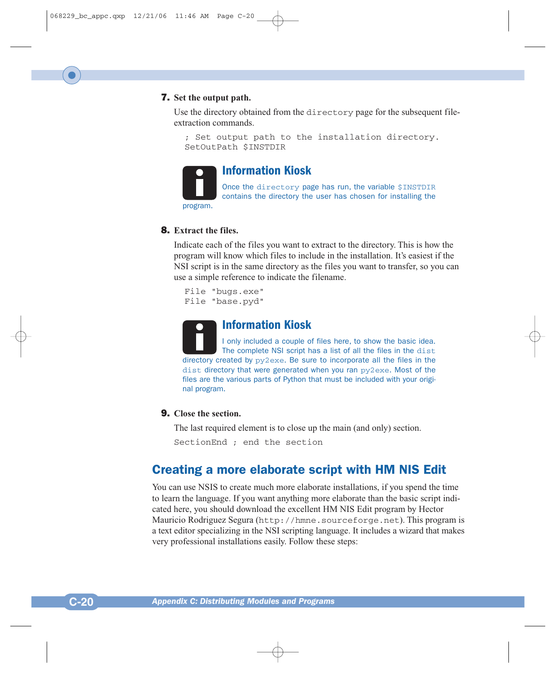# 7. **Set the output path.**

Use the directory obtained from the directory page for the subsequent fileextraction commands.

```
; Set output path to the installation directory.
SetOutPath $INSTDIR
```


# **Information Kiosk**

Once the directory page has run, the variable \$INSTDIR contains the directory the user has chosen for installing the program.

#### 8. **Extract the files.**

Indicate each of the files you want to extract to the directory. This is how the program will know which files to include in the installation. It's easiest if the NSI script is in the same directory as the files you want to transfer, so you can use a simple reference to indicate the filename.

File "bugs.exe" File "base.pyd"



# **Information Kiosk**

I only included a couple of files here, to show the basic idea. The complete NSI script has a list of all the files in the dist directory created by py2exe. Be sure to incorporate all the files in the dist directory that were generated when you ran py2exe. Most of the files are the various parts of Python that must be included with your original program.

# 9. **Close the section.**

The last required element is to close up the main (and only) section.

```
SectionEnd ; end the section
```
# Creating a more elaborate script with HM NIS Edit

You can use NSIS to create much more elaborate installations, if you spend the time to learn the language. If you want anything more elaborate than the basic script indicated here, you should download the excellent HM NIS Edit program by Hector Mauricio Rodriguez Segura (http://hmne.sourceforge.net). This program is a text editor specializing in the NSI scripting language. It includes a wizard that makes very professional installations easily. Follow these steps: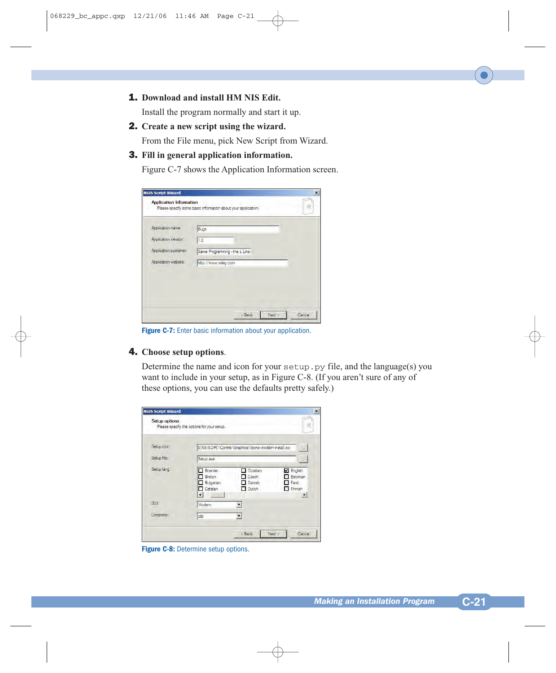1. **Download and install HM NIS Edit.**

Install the program normally and start it up.

2. **Create a new script using the wizard.**

From the File menu, pick New Script from Wizard.

# 3. **Fill in general application information.**

Figure C-7 shows the Application Information screen.

| Application name:      | Bugs                          |  |
|------------------------|-------------------------------|--|
| Application version:   | 1.0                           |  |
| Application publisher: | Game Programming - the L Line |  |
| Application website:   | http://www.wiley.com          |  |

**Figure C-7:** Enter basic information about your application.

# 4. **Choose setup options**.

Determine the name and icon for your setup.py file, and the language(s) you want to include in your setup, as in Figure C-8. (If you aren't sure of any of these options, you can use the defaults pretty safely.)

| <b>Setup options</b> | Please specify the options for your setup.                                                  |                                                                                                                          |
|----------------------|---------------------------------------------------------------------------------------------|--------------------------------------------------------------------------------------------------------------------------|
| Setup icon:          | \${NSISDIR}\Contrib\Graphics\Icons\modem-install.ico                                        | $\sim$                                                                                                                   |
| Setup file:          | Setup.exe                                                                                   |                                                                                                                          |
| Setup lang:          | Bosnian<br>-1<br>п<br>Breton<br>$-1$<br>Bulgarian<br><b>Catalan</b><br>$\blacktriangleleft$ | Croatian<br><b>V</b> English<br>Estonian<br>Czech<br>Farsi<br>Danish<br>Dutch<br><b>Finnish</b><br>$\blacktriangleright$ |
| GUIL                 | Modem                                                                                       |                                                                                                                          |
| Compress:            | $z$ lib                                                                                     |                                                                                                                          |

**Figure C-8:** Determine setup options.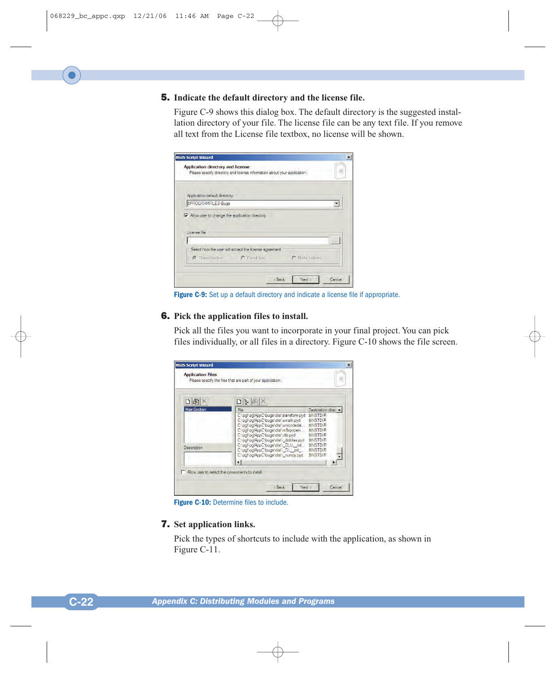# 5. **Indicate the default directory and the license file.**

Figure C-9 shows this dialog box. The default directory is the suggested installation directory of your file. The license file can be any text file. If you remove all text from the License file textbox, no license will be shown.

| Application directory and license<br>Please specify directory and license information about your application.<br>Application default directory:<br>SPROGRAMFILES\Bugs<br>Millow user to change the application directory |                 |
|--------------------------------------------------------------------------------------------------------------------------------------------------------------------------------------------------------------------------|-----------------|
|                                                                                                                                                                                                                          |                 |
|                                                                                                                                                                                                                          |                 |
|                                                                                                                                                                                                                          |                 |
|                                                                                                                                                                                                                          |                 |
|                                                                                                                                                                                                                          |                 |
|                                                                                                                                                                                                                          |                 |
|                                                                                                                                                                                                                          |                 |
|                                                                                                                                                                                                                          |                 |
| License file                                                                                                                                                                                                             |                 |
|                                                                                                                                                                                                                          | $\sim$          |
| Select how the user will accept the license agreement                                                                                                                                                                    |                 |
|                                                                                                                                                                                                                          |                 |
| Classic button C Check box                                                                                                                                                                                               | C Radio buttons |
|                                                                                                                                                                                                                          |                 |
|                                                                                                                                                                                                                          |                 |

**Figure C-9:** Set up a default directory and indicate a license file if appropriate.

# 6. **Pick the application files to install.**

Pick all the files you want to incorporate in your final project. You can pick files individually, or all files in a directory. Figure C-10 shows the file screen.

| 图                  | $E = 1$<br>n                                                                                                                                                                                                                                                                                                                                             |                                                                                                                                                    |
|--------------------|----------------------------------------------------------------------------------------------------------------------------------------------------------------------------------------------------------------------------------------------------------------------------------------------------------------------------------------------------------|----------------------------------------------------------------------------------------------------------------------------------------------------|
| <b>MainSection</b> | File                                                                                                                                                                                                                                                                                                                                                     | Destination direc $\blacktriangle$                                                                                                                 |
| Description        | C:\pgl\pglAppC\bugs\dist\transform.pyd<br>C:\pgl\pglAppC\bugs\dist\umath.pyd<br>C:\pgl\pglAppC\bugs\dist\unicodedat<br>C:\pal\palAppC\buas\dist\w9xpopen<br>C:\pal\palAppC\buas\dist\zlib.pvd<br>C:\pgl\pglAppC\bugs\dist\ dotblas.pyd<br>C:\pgl\pglAppC\bugs\dist\ GLU init<br>C:\pgl\pglAppC\bugs\dist\ GL init<br>C:\pal\palAppC\buas\dist\ numpy.pyd | SINSTOIR<br><b>SINSTDIR</b><br><b>SINSTDIR</b><br><b>SINSTDIR</b><br>SINSTOIR<br><b>SINSTDIR</b><br>SINSTDIR<br><b>SINSTDIR</b><br><b>SINSTDIR</b> |

**Figure C-10:** Determine files to include.

#### 7. **Set application links.**

Pick the types of shortcuts to include with the application, as shown in Figure C-11.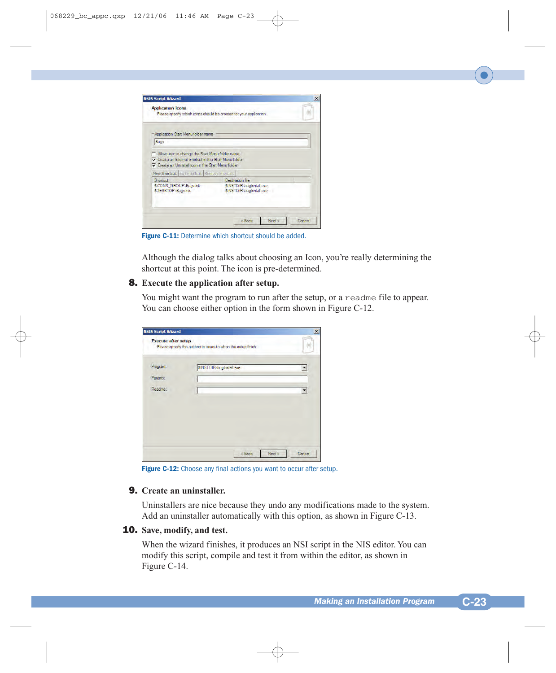| <b>Application Icons</b><br>Please specify which icons should be created for your application.  |                         |                                                    |  |
|-------------------------------------------------------------------------------------------------|-------------------------|----------------------------------------------------|--|
| Application Start Menu folder name                                                              |                         |                                                    |  |
| Bugs                                                                                            |                         |                                                    |  |
| Create an Internet shortcut in the Start Menu folder                                            |                         |                                                    |  |
| Create an Uninstall icon in the Start Menu folder<br>New Shortcut Edit shortcut Remove shortcut |                         |                                                    |  |
| Shortcut<br>SICONS GROUP\Bugs.ink<br>SDESKTOP\Bugs.lnk                                          | <b>Destination file</b> | SINSTDIR\bugInstall.exe<br>SINSTDIR\bugInstall.exe |  |

**Figure C-11:** Determine which shortcut should be added.

Although the dialog talks about choosing an Icon, you're really determining the shortcut at this point. The icon is pre-determined.

# 8. **Execute the application after setup.**

You might want the program to run after the setup, or a readme file to appear. You can choose either option in the form shown in Figure C-12.

| Program: | \$INSTDIR\bugInstall.exe |   |
|----------|--------------------------|---|
| Params:  |                          |   |
| Readme:  |                          | ▼ |
|          |                          |   |
|          |                          |   |
|          |                          |   |

**Figure C-12:** Choose any final actions you want to occur after setup.

#### 9. **Create an uninstaller.**

Uninstallers are nice because they undo any modifications made to the system. Add an uninstaller automatically with this option, as shown in Figure C-13.

# 10. **Save, modify, and test.**

When the wizard finishes, it produces an NSI script in the NIS editor. You can modify this script, compile and test it from within the editor, as shown in Figure C-14.